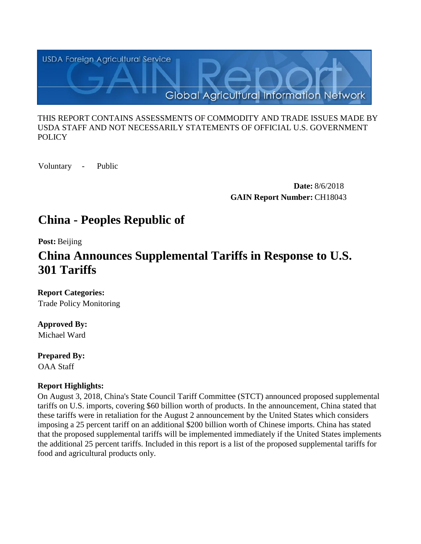

#### THIS REPORT CONTAINS ASSESSMENTS OF COMMODITY AND TRADE ISSUES MADE BY USDA STAFF AND NOT NECESSARILY STATEMENTS OF OFFICIAL U.S. GOVERNMENT **POLICY**

Voluntary - Public

**Date:** 8/6/2018 **GAIN Report Number:** CH18043

# **China - Peoples Republic of**

**Post:** Beijing

# **China Announces Supplemental Tariffs in Response to U.S. 301 Tariffs**

**Report Categories:** Trade Policy Monitoring

## **Approved By:**

Michael Ward

**Prepared By:**  OAA Staff

## **Report Highlights:**

On August 3, 2018, China's State Council Tariff Committee (STCT) announced proposed supplemental tariffs on U.S. imports, covering \$60 billion worth of products. In the announcement, China stated that these tariffs were in retaliation for the August 2 announcement by the United States which considers imposing a 25 percent tariff on an additional \$200 billion worth of Chinese imports. China has stated that the proposed supplemental tariffs will be implemented immediately if the United States implements the additional 25 percent tariffs. Included in this report is a list of the proposed supplemental tariffs for food and agricultural products only.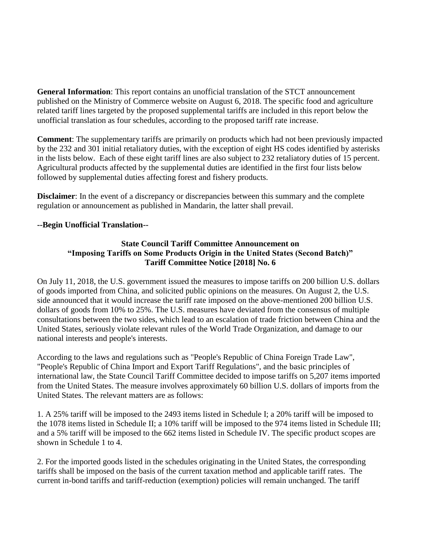**General Information**: This report contains an unofficial translation of the STCT announcement published on the Ministry of Commerce website on August 6, 2018. The specific food and agriculture related tariff lines targeted by the proposed supplemental tariffs are included in this report below the unofficial translation as four schedules, according to the proposed tariff rate increase.

**Comment**: The supplementary tariffs are primarily on products which had not been previously impacted by the 232 and 301 initial retaliatory duties, with the exception of eight HS codes identified by asterisks in the lists below. Each of these eight tariff lines are also subject to 232 retaliatory duties of 15 percent. Agricultural products affected by the supplemental duties are identified in the first four lists below followed by supplemental duties affecting forest and fishery products.

**Disclaimer**: In the event of a discrepancy or discrepancies between this summary and the complete regulation or announcement as published in Mandarin, the latter shall prevail.

#### **--Begin Unofficial Translation--**

#### **State Council Tariff Committee Announcement on "Imposing Tariffs on Some Products Origin in the United States (Second Batch)" Tariff Committee Notice [2018] No. 6**

On July 11, 2018, the U.S. government issued the measures to impose tariffs on 200 billion U.S. dollars of goods imported from China, and solicited public opinions on the measures. On August 2, the U.S. side announced that it would increase the tariff rate imposed on the above-mentioned 200 billion U.S. dollars of goods from 10% to 25%. The U.S. measures have deviated from the consensus of multiple consultations between the two sides, which lead to an escalation of trade friction between China and the United States, seriously violate relevant rules of the World Trade Organization, and damage to our national interests and people's interests.

According to the laws and regulations such as "People's Republic of China Foreign Trade Law", "People's Republic of China Import and Export Tariff Regulations", and the basic principles of international law, the State Council Tariff Committee decided to impose tariffs on 5,207 items imported from the United States. The measure involves approximately 60 billion U.S. dollars of imports from the United States. The relevant matters are as follows:

1. A 25% tariff will be imposed to the 2493 items listed in Schedule I; a 20% tariff will be imposed to the 1078 items listed in Schedule II; a 10% tariff will be imposed to the 974 items listed in Schedule III; and a 5% tariff will be imposed to the 662 items listed in Schedule IV. The specific product scopes are shown in Schedule 1 to 4.

2. For the imported goods listed in the schedules originating in the United States, the corresponding tariffs shall be imposed on the basis of the current taxation method and applicable tariff rates. The current in-bond tariffs and tariff-reduction (exemption) policies will remain unchanged. The tariff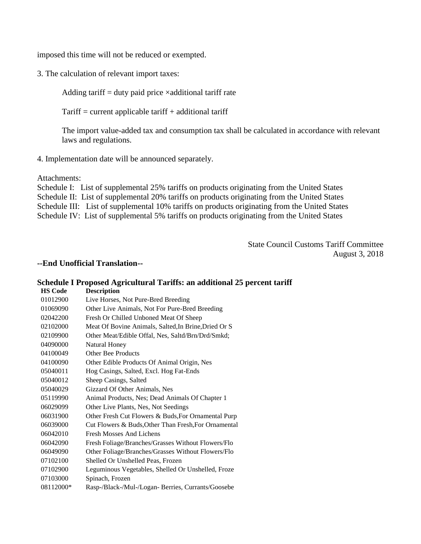imposed this time will not be reduced or exempted.

3. The calculation of relevant import taxes:

Adding tariff  $=$  duty paid price  $\times$ additional tariff rate

 $T\text{ariff} =$  current applicable tariff + additional tariff

The import value-added tax and consumption tax shall be calculated in accordance with relevant laws and regulations.

4. Implementation date will be announced separately.

Attachments:

Schedule I: List of supplemental 25% tariffs on products originating from the United States Schedule II: List of supplemental 20% tariffs on products originating from the United States Schedule III: List of supplemental 10% tariffs on products originating from the United States Schedule IV: List of supplemental 5% tariffs on products originating from the United States

> State Council Customs Tariff Committee August 3, 2018

#### **--End Unofficial Translation--**

|                | Schedule I Proposed Agricultural Tariffs: an additional 25 percent tariff |
|----------------|---------------------------------------------------------------------------|
| <b>HS Code</b> | <b>Description</b>                                                        |
| 01012900       | Live Horses, Not Pure-Bred Breeding                                       |
| 01069090       | Other Live Animals, Not For Pure-Bred Breeding                            |
| 02042200       | Fresh Or Chilled Unboned Meat Of Sheep                                    |
| 02102000       | Meat Of Bovine Animals, Salted, In Brine, Dried Or S                      |
| 02109900       | Other Meat/Edible Offal, Nes, Saltd/Brn/Drd/Smkd;                         |
| 04090000       | Natural Honey                                                             |
| 04100049       | Other Bee Products                                                        |
| 04100090       | Other Edible Products Of Animal Origin, Nes                               |
| 05040011       | Hog Casings, Salted, Excl. Hog Fat-Ends                                   |
| 05040012       | Sheep Casings, Salted                                                     |
| 05040029       | Gizzard Of Other Animals, Nes                                             |
| 05119990       | Animal Products, Nes; Dead Animals Of Chapter 1                           |
| 06029099       | Other Live Plants, Nes, Not Seedings                                      |
| 06031900       | Other Fresh Cut Flowers & Buds, For Ornamental Purp                       |
| 06039000       | Cut Flowers & Buds, Other Than Fresh, For Ornamental                      |
| 06042010       | <b>Fresh Mosses And Lichens</b>                                           |
| 06042090       | Fresh Foliage/Branches/Grasses Without Flowers/Flo                        |
| 06049090       | Other Foliage/Branches/Grasses Without Flowers/Flo                        |
| 07102100       | Shelled Or Unshelled Peas, Frozen                                         |
| 07102900       | Leguminous Vegetables, Shelled Or Unshelled, Froze                        |
| 07103000       | Spinach, Frozen                                                           |
| 08112000*      | Rasp-/Black-/Mul-/Logan- Berries, Currants/Goosebe                        |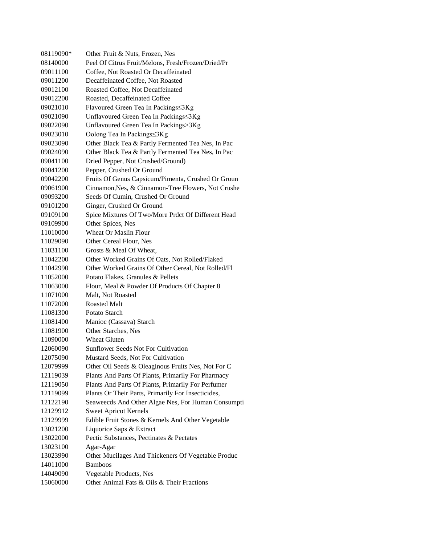| 08119090* | Other Fruit & Nuts, Frozen, Nes                    |
|-----------|----------------------------------------------------|
| 08140000  | Peel Of Citrus Fruit/Melons, Fresh/Frozen/Dried/Pr |
| 09011100  | Coffee, Not Roasted Or Decaffeinated               |
| 09011200  | Decaffeinated Coffee, Not Roasted                  |
| 09012100  | Roasted Coffee, Not Decaffeinated                  |
| 09012200  | Roasted, Decaffeinated Coffee                      |
| 09021010  | Flavoured Green Tea In Packings≤3Kg                |
| 09021090  | Unflavoured Green Tea In Packings≤3Kg              |
| 09022090  | Unflavoured Green Tea In Packings>3Kg              |
| 09023010  | Oolong Tea In Packings≤3Kg                         |
| 09023090  | Other Black Tea & Partly Fermented Tea Nes, In Pac |
| 09024090  | Other Black Tea & Partly Fermented Tea Nes, In Pac |
| 09041100  | Dried Pepper, Not Crushed/Ground)                  |
| 09041200  | Pepper, Crushed Or Ground                          |
| 09042200  | Fruits Of Genus Capsicum/Pimenta, Crushed Or Groun |
| 09061900  | Cinnamon, Nes, & Cinnamon-Tree Flowers, Not Crushe |
| 09093200  | Seeds Of Cumin, Crushed Or Ground                  |
| 09101200  | Ginger, Crushed Or Ground                          |
| 09109100  | Spice Mixtures Of Two/More Prdct Of Different Head |
| 09109900  | Other Spices, Nes                                  |
| 11010000  | <b>Wheat Or Maslin Flour</b>                       |
| 11029090  | Other Cereal Flour, Nes                            |
| 11031100  | Grosts & Meal Of Wheat,                            |
| 11042200  | Other Worked Grains Of Oats, Not Rolled/Flaked     |
| 11042990  | Other Worked Grains Of Other Cereal, Not Rolled/Fl |
| 11052000  | Potato Flakes, Granules & Pellets                  |
| 11063000  | Flour, Meal & Powder Of Products Of Chapter 8      |
| 11071000  | Malt, Not Roasted                                  |
| 11072000  | <b>Roasted Malt</b>                                |
| 11081300  | Potato Starch                                      |
| 11081400  | Manioc (Cassava) Starch                            |
| 11081900  | Other Starches, Nes                                |
| 11090000  | <b>Wheat Gluten</b>                                |
| 12060090  | Sunflower Seeds Not For Cultivation                |
| 12075090  | Mustard Seeds. Not For Cultivation                 |
| 12079999  | Other Oil Seeds & Oleaginous Fruits Nes, Not For C |
| 12119039  | Plants And Parts Of Plants, Primarily For Pharmacy |
| 12119050  | Plants And Parts Of Plants, Primarily For Perfumer |
| 12119099  | Plants Or Their Parts, Primarily For Insecticides, |
| 12122190  | Seaweecds And Other Algae Nes, For Human Consumpti |
| 12129912  | <b>Sweet Apricot Kernels</b>                       |
| 12129999  | Edible Fruit Stones & Kernels And Other Vegetable  |
| 13021200  | Liquorice Saps & Extract                           |
| 13022000  | Pectic Substances, Pectinates & Pectates           |
| 13023100  | Agar-Agar                                          |
| 13023990  | Other Mucilages And Thickeners Of Vegetable Produc |
| 14011000  | <b>Bamboos</b>                                     |
| 14049090  | Vegetable Products, Nes                            |
| 15060000  | Other Animal Fats & Oils & Their Fractions         |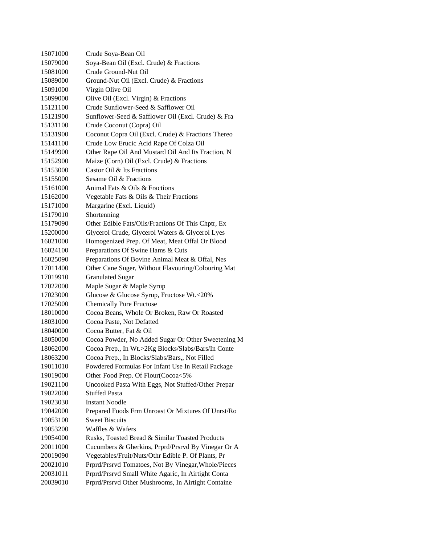| 15071000 | Crude Soya-Bean Oil                                 |
|----------|-----------------------------------------------------|
| 15079000 | Soya-Bean Oil (Excl. Crude) & Fractions             |
| 15081000 | Crude Ground-Nut Oil                                |
| 15089000 | Ground-Nut Oil (Excl. Crude) & Fractions            |
| 15091000 | Virgin Olive Oil                                    |
| 15099000 | Olive Oil (Excl. Virgin) & Fractions                |
| 15121100 | Crude Sunflower-Seed & Safflower Oil                |
| 15121900 | Sunflower-Seed & Safflower Oil (Excl. Crude) & Fra  |
| 15131100 | Crude Coconut (Copra) Oil                           |
| 15131900 | Coconut Copra Oil (Excl. Crude) & Fractions Thereo  |
| 15141100 | Crude Low Erucic Acid Rape Of Colza Oil             |
| 15149900 | Other Rape Oil And Mustard Oil And Its Fraction, N  |
| 15152900 | Maize (Corn) Oil (Excl. Crude) & Fractions          |
| 15153000 | Castor Oil & Its Fractions                          |
| 15155000 | Sesame Oil & Fractions                              |
| 15161000 | Animal Fats & Oils & Fractions                      |
| 15162000 | Vegetable Fats & Oils & Their Fractions             |
| 15171000 | Margarine (Excl. Liquid)                            |
| 15179010 | Shortenning                                         |
| 15179090 | Other Edible Fats/Oils/Fractions Of This Chptr, Ex  |
| 15200000 | Glycerol Crude, Glycerol Waters & Glycerol Lyes     |
| 16021000 | Homogenized Prep. Of Meat, Meat Offal Or Blood      |
| 16024100 | Preparations Of Swine Hams & Cuts                   |
| 16025090 | Preparations Of Bovine Animal Meat & Offal, Nes     |
| 17011400 | Other Cane Suger, Without Flavouring/Colouring Mat  |
| 17019910 | <b>Granulated Sugar</b>                             |
| 17022000 | Maple Sugar & Maple Syrup                           |
| 17023000 | Glucose & Glucose Syrup, Fructose Wt.<20%           |
| 17025000 | <b>Chemically Pure Fructose</b>                     |
| 18010000 | Cocoa Beans, Whole Or Broken, Raw Or Roasted        |
| 18031000 | Cocoa Paste, Not Defatted                           |
| 18040000 | Cocoa Butter, Fat & Oil                             |
| 18050000 | Cocoa Powder, No Added Sugar Or Other Sweetening M  |
| 18062000 | Cocoa Prep., In Wt.>2Kg Blocks/Slabs/Bars/In Conte  |
| 18063200 | Cocoa Prep., In Blocks/Slabs/Bars,, Not Filled      |
| 19011010 | Powdered Formulas For Infant Use In Retail Package  |
| 19019000 | Other Food Prep. Of Flour(Cocoa<5%                  |
| 19021100 | Uncooked Pasta With Eggs, Not Stuffed/Other Prepar  |
| 19022000 | <b>Stuffed Pasta</b>                                |
| 19023030 | <b>Instant Noodle</b>                               |
| 19042000 | Prepared Foods Frm Unroast Or Mixtures Of Unrst/Ro  |
| 19053100 | <b>Sweet Biscuits</b>                               |
| 19053200 | Waffles & Wafers                                    |
| 19054000 | Rusks, Toasted Bread & Similar Toasted Products     |
| 20011000 | Cucumbers & Gherkins, Prprd/Prsrvd By Vinegar Or A  |
| 20019090 | Vegetables/Fruit/Nuts/Othr Edible P. Of Plants, Pr  |
| 20021010 | Prprd/Prsrvd Tomatoes, Not By Vinegar, Whole/Pieces |
| 20031011 | Prprd/Prsrvd Small White Agaric, In Airtight Conta  |
| 20039010 | Prprd/Prsrvd Other Mushrooms, In Airtight Containe  |
|          |                                                     |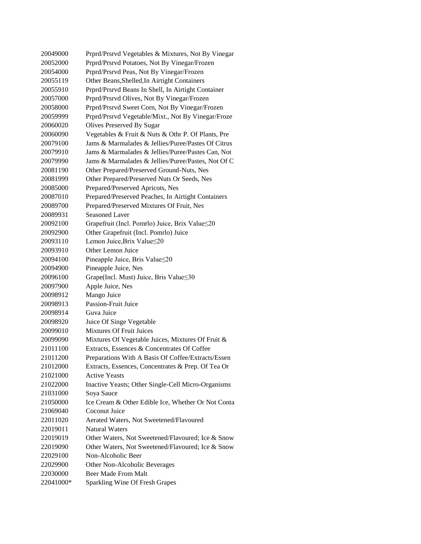| 20049000 | Prprd/Prsrvd Vegetables & Mixtures, Not By Vinegar |
|----------|----------------------------------------------------|
| 20052000 | Prprd/Prsrvd Potatoes, Not By Vinegar/Frozen       |
| 20054000 | Prprd/Prsrvd Peas, Not By Vinegar/Frozen           |
| 20055119 | Other Beans, Shelled, In Airtight Containers       |
| 20055910 | Prprd/Prsrvd Beans In Shell, In Airtight Container |
| 20057000 | Prprd/Prsrvd Olives, Not By Vinegar/Frozen         |
| 20058000 | Prprd/Prsrvd Sweet Corn, Not By Vinegar/Frozen     |
| 20059999 | Prprd/Prsrvd Vegetable/Mixt., Not By Vinegar/Froze |
| 20060020 | Olives Preserved By Sugar                          |
| 20060090 | Vegetables & Fruit & Nuts & Othr P. Of Plants, Pre |
| 20079100 | Jams & Marmalades & Jellies/Puree/Pastes Of Citrus |
| 20079910 | Jams & Marmalades & Jellies/Puree/Pastes Can, Not  |
| 20079990 | Jams & Marmalades & Jellies/Puree/Pastes, Not Of C |
| 20081190 | Other Prepared/Preserved Ground-Nuts, Nes          |
| 20081999 | Other Prepared/Preserved Nuts Or Seeds, Nes        |
| 20085000 | Prepared/Preserved Apricots, Nes                   |
| 20087010 | Prepared/Preserved Peaches, In Airtight Containers |
| 20089700 | Prepared/Preserved Mixtures Of Fruit, Nes          |
| 20089931 | Seasoned Laver                                     |
| 20092100 | Grapefruit (Incl. Pomrlo) Juice, Brix Value≤20     |
| 20092900 | Other Grapefruit (Incl. Pomrlo) Juice              |
| 20093110 | Lemon Juice, Brix Value≤20                         |
| 20093910 | Other Lemon Juice                                  |
| 20094100 | Pineapple Juice, Bris Value≤20                     |
| 20094900 | Pineapple Juice, Nes                               |
| 20096100 | Grape(Incl. Must) Juice, Bris Value≤30             |
| 20097900 | Apple Juice, Nes                                   |
| 20098912 | Mango Juice                                        |
| 20098913 | <b>Passion-Fruit Juice</b>                         |
| 20098914 | Guva Juice                                         |
| 20098920 | Juice Of Singe Vegetable                           |
| 20099010 | <b>Mixtures Of Fruit Juices</b>                    |
| 20099090 | Mixtures Of Vegetable Juices, Mixtures Of Fruit &  |
| 21011100 | Extracts, Essences & Concentrates Of Coffee        |
| 21011200 | Preparations With A Basis Of Coffee/Extracts/Essen |
| 21012000 | Extracts, Essences, Concentrates & Prep. Of Tea Or |
| 21021000 |                                                    |
|          | <b>Active Yeasts</b>                               |
| 21022000 | Inactive Yeasts; Other Single-Cell Micro-Organisms |
| 21031000 | Soya Sauce                                         |
| 21050000 | Ice Cream & Other Edible Ice, Whether Or Not Conta |
| 21069040 | Coconut Juice                                      |
| 22011020 | Aerated Waters, Not Sweetened/Flavoured            |
| 22019011 | <b>Natural Waters</b>                              |
| 22019019 | Other Waters, Not Sweetened/Flavoured; Ice & Snow  |
| 22019090 | Other Waters, Not Sweetened/Flavoured; Ice & Snow  |
| 22029100 | Non-Alcoholic Beer                                 |
| 22029900 | Other Non-Alcoholic Beverages                      |
| 22030000 | Beer Made From Malt                                |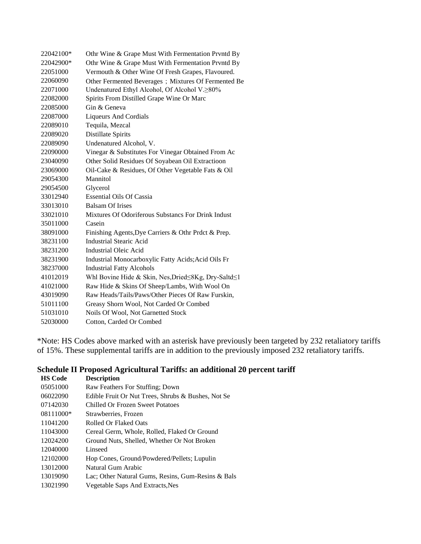| 22042100* | Othr Wine & Grape Must With Fermentation Prvntd By  |
|-----------|-----------------------------------------------------|
| 22042900* | Othr Wine & Grape Must With Fermentation Prvntd By  |
| 22051000  | Vermouth & Other Wine Of Fresh Grapes, Flavoured.   |
| 22060090  | Other Fermented Beverages; Mixtures Of Fermented Be |
| 22071000  | Undenatured Ethyl Alcohol, Of Alcohol V.≥80%        |
| 22082000  | Spirits From Distilled Grape Wine Or Marc           |
| 22085000  | Gin & Geneva                                        |
| 22087000  | <b>Liqueurs And Cordials</b>                        |
| 22089010  | Tequila, Mezcal                                     |
| 22089020  | Distillate Spirits                                  |
| 22089090  | Undenatured Alcohol, V.                             |
| 22090000  | Vinegar & Substitutes For Vinegar Obtained From Ac  |
| 23040090  | Other Solid Residues Of Soyabean Oil Extractioon    |
| 23069000  | Oil-Cake & Residues, Of Other Vegetable Fats & Oil  |
| 29054300  | Mannitol                                            |
| 29054500  | Glycerol                                            |
| 33012940  | <b>Essential Oils Of Cassia</b>                     |
| 33013010  | <b>Balsam Of Irises</b>                             |
| 33021010  | Mixtures Of Odoriferous Substancs For Drink Indust  |
| 35011000  | Casein                                              |
| 38091000  | Finishing Agents, Dye Carriers & Othr Prdct & Prep. |
| 38231100  | <b>Industrial Stearic Acid</b>                      |
| 38231200  | Industrial Oleic Acid                               |
| 38231900  | Industrial Monocarboxylic Fatty Acids; Acid Oils Fr |
| 38237000  | <b>Industrial Fatty Alcohols</b>                    |
| 41012019  | Whl Bovine Hide & Skin, Nes, Dried≤8Kg, Dry-Saltd≤1 |
| 41021000  | Raw Hide & Skins Of Sheep/Lambs, With Wool On       |
| 43019090  | Raw Heads/Tails/Paws/Other Pieces Of Raw Furskin,   |
| 51011100  | Greasy Shorn Wool, Not Carded Or Combed             |
| 51031010  | Noils Of Wool, Not Garnetted Stock                  |
| 52030000  | Cotton, Carded Or Combed                            |
|           |                                                     |

\*Note: HS Codes above marked with an asterisk have previously been targeted by 232 retaliatory tariffs of 15%. These supplemental tariffs are in addition to the previously imposed 232 retaliatory tariffs.

## **Schedule II Proposed Agricultural Tariffs: an additional 20 percent tariff**

| <b>HS Code</b> | <b>Description</b>                                 |
|----------------|----------------------------------------------------|
| 05051000       | Raw Feathers For Stuffing; Down                    |
| 06022090       | Edible Fruit Or Nut Trees, Shrubs & Bushes, Not Se |
| 07142030       | Chilled Or Frozen Sweet Potatoes                   |
| 08111000*      | Strawberries, Frozen                               |
| 11041200       | Rolled Or Flaked Oats                              |
| 11043000       | Cereal Germ, Whole, Rolled, Flaked Or Ground       |
| 12024200       | Ground Nuts, Shelled, Whether Or Not Broken        |
| 12040000       | Linseed                                            |
| 12102000       | Hop Cones, Ground/Powdered/Pellets; Lupulin        |
| 13012000       | Natural Gum Arabic                                 |
| 13019090       | Lac; Other Natural Gums, Resins, Gum-Resins & Bals |
| 13021990       | Vegetable Saps And Extracts, Nes                   |
|                |                                                    |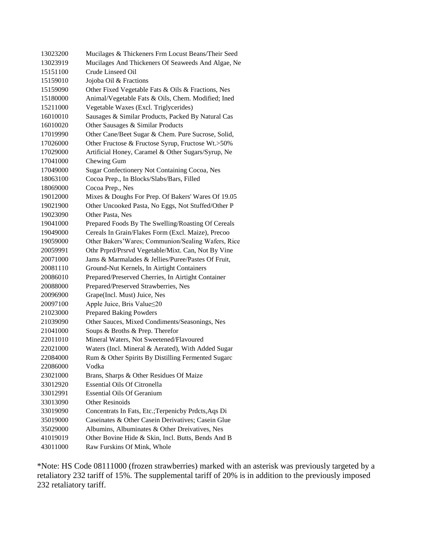| 13023200 | Mucilages & Thickeners Frm Locust Beans/Their Seed   |  |  |
|----------|------------------------------------------------------|--|--|
| 13023919 | Mucilages And Thickeners Of Seaweeds And Algae, Ne   |  |  |
| 15151100 | Crude Linseed Oil                                    |  |  |
| 15159010 | Jojoba Oil & Fractions                               |  |  |
| 15159090 | Other Fixed Vegetable Fats & Oils & Fractions, Nes   |  |  |
| 15180000 | Animal/Vegetable Fats & Oils, Chem. Modified; Ined   |  |  |
| 15211000 | Vegetable Waxes (Excl. Triglycerides)                |  |  |
| 16010010 | Sausages & Similar Products, Packed By Natural Cas   |  |  |
| 16010020 | Other Sausages & Similar Products                    |  |  |
| 17019990 | Other Cane/Beet Sugar & Chem. Pure Sucrose, Solid,   |  |  |
| 17026000 | Other Fructose & Fructose Syrup, Fructose Wt.>50%    |  |  |
| 17029000 | Artificial Honey, Caramel & Other Sugars/Syrup, Ne   |  |  |
| 17041000 | Chewing Gum                                          |  |  |
| 17049000 | Sugar Confectionery Not Containing Cocoa, Nes        |  |  |
| 18063100 | Cocoa Prep., In Blocks/Slabs/Bars, Filled            |  |  |
| 18069000 | Cocoa Prep., Nes                                     |  |  |
| 19012000 | Mixes & Doughs For Prep. Of Bakers' Wares Of 19.05   |  |  |
| 19021900 | Other Uncooked Pasta, No Eggs, Not Stuffed/Other P   |  |  |
| 19023090 | Other Pasta, Nes                                     |  |  |
| 19041000 | Prepared Foods By The Swelling/Roasting Of Cereals   |  |  |
| 19049000 | Cereals In Grain/Flakes Form (Excl. Maize), Precoo   |  |  |
| 19059000 | Other Bakers' Wares; Communion/Sealing Wafers, Rice  |  |  |
| 20059991 | Othr Prprd/Prsrvd Vegetable/Mixt. Can, Not By Vine   |  |  |
| 20071000 | Jams & Marmalades & Jellies/Puree/Pastes Of Fruit,   |  |  |
| 20081110 | Ground-Nut Kernels, In Airtight Containers           |  |  |
| 20086010 | Prepared/Preserved Cherries, In Airtight Container   |  |  |
| 20088000 | Prepared/Preserved Strawberries, Nes                 |  |  |
| 20096900 | Grape(Incl. Must) Juice, Nes                         |  |  |
| 20097100 | Apple Juice, Bris Value≤20                           |  |  |
| 21023000 | <b>Prepared Baking Powders</b>                       |  |  |
| 21039090 | Other Sauces, Mixed Condiments/Seasonings, Nes       |  |  |
| 21041000 | Soups & Broths & Prep. Therefor                      |  |  |
| 22011010 | Mineral Waters, Not Sweetened/Flavoured              |  |  |
| 22021000 | Waters (Incl. Mineral & Aerated), With Added Sugar   |  |  |
| 22084000 | Rum & Other Spirits By Distilling Fermented Sugarc   |  |  |
| 22086000 | Vodka                                                |  |  |
| 23021000 | Brans, Sharps & Other Residues Of Maize              |  |  |
| 33012920 | <b>Essential Oils Of Citronella</b>                  |  |  |
| 33012991 | <b>Essential Oils Of Geranium</b>                    |  |  |
| 33013090 | Other Resinoids                                      |  |  |
| 33019090 | Concentrats In Fats, Etc.; Terpenicby Prdcts, Aqs Di |  |  |
| 35019000 | Caseinates & Other Casein Derivatives; Casein Glue   |  |  |
| 35029000 | Albumins, Albuminates & Other Dreivatives, Nes       |  |  |
| 41019019 | Other Bovine Hide & Skin, Incl. Butts, Bends And B   |  |  |
| 43011000 | Raw Furskins Of Mink, Whole                          |  |  |

\*Note: HS Code 08111000 (frozen strawberries) marked with an asterisk was previously targeted by a retaliatory 232 tariff of 15%. The supplemental tariff of 20% is in addition to the previously imposed 232 retaliatory tariff.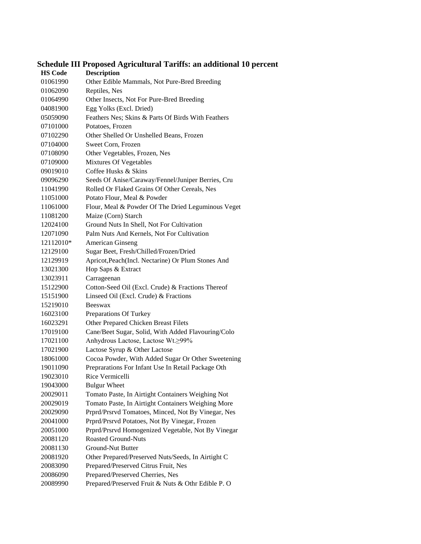# **Schedule III Proposed Agricultural Tariffs: an additional 10 percent**

| <b>HS Code</b> | <b>Description</b>                                 |
|----------------|----------------------------------------------------|
| 01061990       | Other Edible Mammals, Not Pure-Bred Breeding       |
| 01062090       | Reptiles, Nes                                      |
| 01064990       | Other Insects, Not For Pure-Bred Breeding          |
| 04081900       | Egg Yolks (Excl. Dried)                            |
| 05059090       | Feathers Nes; Skins & Parts Of Birds With Feathers |
| 07101000       | Potatoes, Frozen                                   |
| 07102290       | Other Shelled Or Unshelled Beans, Frozen           |
| 07104000       | Sweet Corn, Frozen                                 |
| 07108090       | Other Vegetables, Frozen, Nes                      |
| 07109000       | Mixtures Of Vegetables                             |
| 09019010       | Coffee Husks & Skins                               |
| 09096290       | Seeds Of Anise/Caraway/Fennel/Juniper Berries, Cru |
| 11041990       | Rolled Or Flaked Grains Of Other Cereals, Nes      |
| 11051000       | Potato Flour, Meal & Powder                        |
| 11061000       | Flour, Meal & Powder Of The Dried Leguminous Veget |
| 11081200       | Maize (Corn) Starch                                |
| 12024100       | Ground Nuts In Shell, Not For Cultivation          |
| 12071090       | Palm Nuts And Kernels, Not For Cultivation         |
| 12112010*      | <b>American Ginseng</b>                            |
| 12129100       | Sugar Beet, Fresh/Chilled/Frozen/Dried             |
| 12129919       | Apricot, Peach(Incl. Nectarine) Or Plum Stones And |
| 13021300       | Hop Saps & Extract                                 |
| 13023911       | Carrageenan                                        |
| 15122900       | Cotton-Seed Oil (Excl. Crude) & Fractions Thereof  |
| 15151900       | Linseed Oil (Excl. Crude) & Fractions              |
| 15219010       | <b>Beeswax</b>                                     |
| 16023100       | Preparations Of Turkey                             |
| 16023291       | Other Prepared Chicken Breast Filets               |
| 17019100       | Cane/Beet Sugar, Solid, With Added Flavouring/Colo |
| 17021100       | Anhydrous Lactose, Lactose Wt. 299%                |
| 17021900       | Lactose Syrup & Other Lactose                      |
| 18061000       | Cocoa Powder, With Added Sugar Or Other Sweetening |
| 19011090       | Preprarations For Infant Use In Retail Package Oth |
| 19023010       | Rice Vermicelli                                    |
| 19043000       | <b>Bulgur</b> Wheet                                |
| 20029011       | Tomato Paste, In Airtight Containers Weighing Not  |
| 20029019       | Tomato Paste, In Airtight Containers Weighing More |
| 20029090       | Prprd/Prsrvd Tomatoes, Minced, Not By Vinegar, Nes |
| 20041000       | Prprd/Prsrvd Potatoes, Not By Vinegar, Frozen      |
| 20051000       | Prprd/Prsrvd Homogenized Vegetable, Not By Vinegar |
| 20081120       | Roasted Ground-Nuts                                |
| 20081130       | Ground-Nut Butter                                  |
| 20081920       | Other Prepared/Preserved Nuts/Seeds, In Airtight C |
| 20083090       | Prepared/Preserved Citrus Fruit, Nes               |
| 20086090       | Prepared/Preserved Cherries, Nes                   |
| 20089990       | Prepared/Preserved Fruit & Nuts & Othr Edible P. O |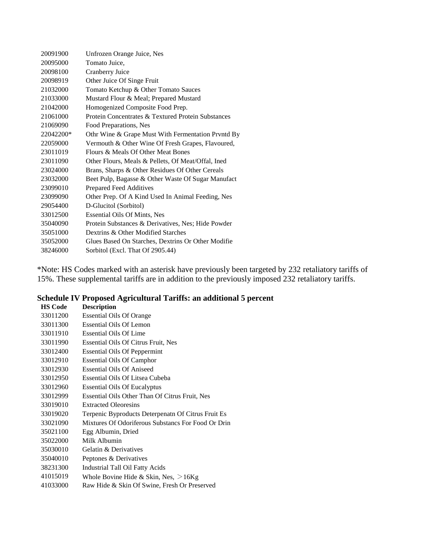| 20091900  | Unfrozen Orange Juice, Nes                         |
|-----------|----------------------------------------------------|
| 20095000  | Tomato Juice,                                      |
| 20098100  | Cranberry Juice                                    |
| 20098919  | Other Juice Of Singe Fruit                         |
| 21032000  | Tomato Ketchup & Other Tomato Sauces               |
| 21033000  | Mustard Flour & Meal; Prepared Mustard             |
| 21042000  | Homogenized Composite Food Prep.                   |
| 21061000  | Protein Concentrates & Textured Protein Substances |
| 21069090  | Food Preparations, Nes                             |
| 22042200* | Othr Wine & Grape Must With Fermentation Prvntd By |
| 22059000  | Vermouth & Other Wine Of Fresh Grapes, Flavoured,  |
| 23011019  | Flours & Meals Of Other Meat Bones                 |
| 23011090  | Other Flours, Meals & Pellets, Of Meat/Offal, Ined |
| 23024000  | Brans, Sharps & Other Residues Of Other Cereals    |
| 23032000  | Beet Pulp, Bagasse & Other Waste Of Sugar Manufact |
| 23099010  | Prepared Feed Additives                            |
| 23099090  | Other Prep. Of A Kind Used In Animal Feeding, Nes  |
| 29054400  | D-Glucitol (Sorbitol)                              |
| 33012500  | <b>Essential Oils Of Mints, Nes</b>                |
| 35040090  | Protein Substances & Derivatives, Nes; Hide Powder |
| 35051000  | Dextrins & Other Modified Starches                 |
| 35052000  | Glues Based On Starches, Dextrins Or Other Modifie |
| 38246000  | Sorbitol (Excl. That Of 2905.44)                   |

\*Note: HS Codes marked with an asterisk have previously been targeted by 232 retaliatory tariffs of 15%. These supplemental tariffs are in addition to the previously imposed 232 retaliatory tariffs.

### **Schedule IV Proposed Agricultural Tariffs: an additional 5 percent**

| <b>HS Code</b> | <b>Description</b>                                 |
|----------------|----------------------------------------------------|
| 33011200       | <b>Essential Oils Of Orange</b>                    |
| 33011300       | <b>Essential Oils Of Lemon</b>                     |
| 33011910       | <b>Essential Oils Of Lime</b>                      |
| 33011990       | Essential Oils Of Citrus Fruit, Nes                |
| 33012400       | <b>Essential Oils Of Peppermint</b>                |
| 33012910       | <b>Essential Oils Of Camphor</b>                   |
| 33012930       | <b>Essential Oils Of Aniseed</b>                   |
| 33012950       | Essential Oils Of Litsea Cubeba                    |
| 33012960       | <b>Essential Oils Of Eucalyptus</b>                |
| 33012999       | Essential Oils Other Than Of Citrus Fruit, Nes     |
| 33019010       | <b>Extracted Oleoresins</b>                        |
| 33019020       | Terpenic Byproducts Deterpenatn Of Citrus Fruit Es |
| 33021090       | Mixtures Of Odoriferous Substancs For Food Or Drin |
| 35021100       | Egg Albumin, Dried                                 |
| 35022000       | Milk Albumin                                       |
| 35030010       | Gelatin & Derivatives                              |
| 35040010       | Peptones & Derivatives                             |
| 38231300       | <b>Industrial Tall Oil Fatty Acids</b>             |
| 41015019       | Whole Bovine Hide & Skin, Nes, $>16Kg$             |
| 41033000       | Raw Hide & Skin Of Swine, Fresh Or Preserved       |
|                |                                                    |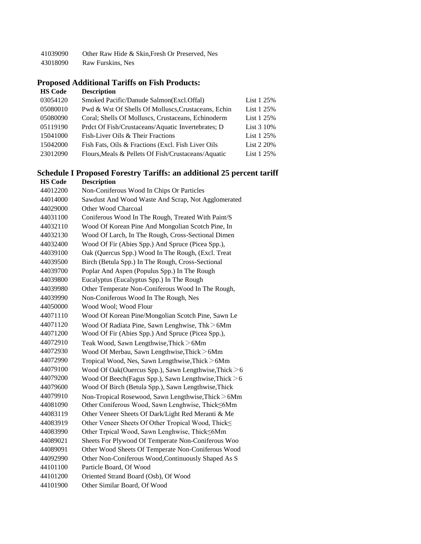- Other Raw Hide & Skin,Fresh Or Preserved, Nes
- Raw Furskins, Nes

#### **Proposed Additional Tariffs on Fish Products:**

| <b>HS Code</b> | <b>Description</b>                                  |            |
|----------------|-----------------------------------------------------|------------|
| 03054120       | Smoked Pacific/Danude Salmon(Excl.Offal)            | List 1 25% |
| 05080010       | Pwd & Wst Of Shells Of Molluscs, Crustaceans, Echin | List 1 25% |
| 05080090       | Coral; Shells Of Molluscs, Crustaceans, Echinoderm  | List 1 25% |
| 05119190       | Prdct Of Fish/Crustaceans/Aquatic Invertebrates; D  | List 3 10% |
| 15041000       | Fish-Liver Oils & Their Fractions                   | List 1 25% |
| 15042000       | Fish Fats, Oils & Fractions (Excl. Fish Liver Oils) | List 2 20% |
| 23012090       | Flours, Meals & Pellets Of Fish/Crustaceans/Aquatic | List 1 25% |
|                |                                                     |            |

#### **Schedule I Proposed Forestry Tariffs: an additional 25 percent tariff**

| <b>HS Code</b> | <b>Description</b>                                    |
|----------------|-------------------------------------------------------|
| 44012200       | Non-Coniferous Wood In Chips Or Particles             |
| 44014000       | Sawdust And Wood Waste And Scrap, Not Agglomerated    |
| 44029000       | Other Wood Charcoal                                   |
| 44031100       | Coniferous Wood In The Rough, Treated With Paint/S    |
| 44032110       | Wood Of Korean Pine And Mongolian Scotch Pine, In     |
| 44032130       | Wood Of Larch, In The Rough, Cross-Sectional Dimen    |
| 44032400       | Wood Of Fir (Abies Spp.) And Spruce (Picea Spp.),     |
| 44039100       | Oak (Quercus Spp.) Wood In The Rough, (Excl. Treat    |
| 44039500       | Birch (Betula Spp.) In The Rough, Cross-Sectional     |
| 44039700       | Poplar And Aspen (Populus Spp.) In The Rough          |
| 44039800       | Eucalyptus (Eucalyptus Spp.) In The Rough             |
| 44039980       | Other Temperate Non-Coniferous Wood In The Rough,     |
| 44039990       | Non-Coniferous Wood In The Rough, Nes                 |
| 44050000       | Wood Wool; Wood Flour                                 |
| 44071110       | Wood Of Korean Pine/Mongolian Scotch Pine, Sawn Le    |
| 44071120       | Wood Of Radiata Pine, Sawn Lenghwise, Thk > 6Mm       |
| 44071200       | Wood Of Fir (Abies Spp.) And Spruce (Picea Spp.),     |
| 44072910       | Teak Wood, Sawn Lengthwise, Thick > 6Mm               |
| 44072930       | Wood Of Merbau, Sawn Lengthwise, Thick > 6Mm          |
| 44072990       | Tropical Wood, Nes, Sawn Lengthwise, Thick > 6Mm      |
| 44079100       | Wood Of Oak(Ouercus Spp.), Sawn Lengthwise, Thick > 6 |
| 44079200       | Wood Of Beech(Fagus Spp.), Sawn Lengthwise, Thick > 6 |
| 44079600       | Wood Of Birch (Betula Spp.), Sawn Lengthwise, Thick   |
| 44079910       | Non-Tropical Rosewood, Sawn Lengthwise, Thick > 6Mm   |
| 44081090       | Other Coniferous Wood, Sawn Lenghwise, Thick<6Mm      |
| 44083119       | Other Veneer Sheets Of Dark/Light Red Meranti & Me    |
| 44083919       | Other Veneer Sheets Of Other Tropical Wood, Thick     |
| 44083990       | Other Trpical Wood, Sawn Lenghwise, Thick<6Mm         |
| 44089021       | Sheets For Plywood Of Temperate Non-Coniferous Woo    |
| 44089091       | Other Wood Sheets Of Temperate Non-Coniferous Wood    |
| 44092990       | Other Non-Coniferous Wood, Continuously Shaped As S   |
| 44101100       | Particle Board, Of Wood                               |
| 44101200       | Oriented Strand Board (Osb), Of Wood                  |
| 44101900       | Other Similar Board, Of Wood                          |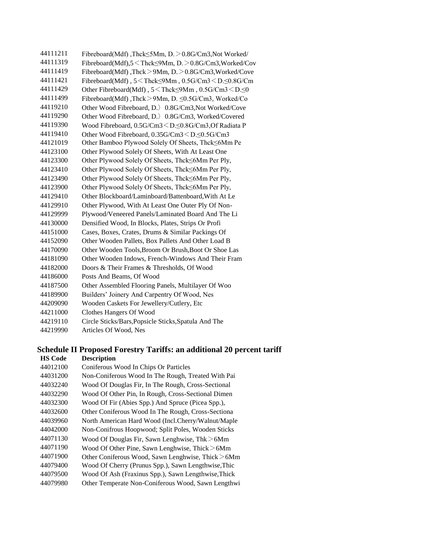| 44111211 | Fibreboard(Mdf), Thck<5Mm, D. > 0.8G/Cm3, Not Worked/                          |
|----------|--------------------------------------------------------------------------------|
| 44111319 | Fibreboard(Mdf),5 <thck<9mm, d.="">0.8G/Cm3,Worked/Cov</thck<9mm,>             |
| 44111419 | Fibreboard(Mdf),Thck>9Mm,D.>0.8G/Cm3,Worked/Cove                               |
| 44111421 | Fibreboard(Mdf), 5 <thck<9mm, 0.5g="" cm3<d.<0.8g="" cm<="" td=""></thck<9mm,> |
| 44111429 | Other Fibreboard(Mdf), 5 < Thck≤9Mm, 0.5G/Cm3 < D.≤0                           |
| 44111499 | Fibreboard(Mdf),Thck > 9Mm, D. ≤0.5G/Cm3, Worked/Co                            |
| 44119210 | Other Wood Fibreboard, D. 0.8G/Cm3, Not Worked/Cove                            |
| 44119290 | Other Wood Fibreboard, D. 0.8G/Cm3, Worked/Covered                             |
| 44119390 | Wood Fibreboard, 0.5G/Cm3 < D.≤0.8G/Cm3,Of Radiata P                           |
| 44119410 | Other Wood Fibreboard, 0.35G/Cm3 < D. < 0.5G/Cm3                               |
| 44121019 | Other Bamboo Plywood Solely Of Sheets, Thck<6Mm Pe                             |
| 44123100 | Other Plywood Solely Of Sheets, With At Least One                              |
| 44123300 | Other Plywood Solely Of Sheets, Thck  smok Per Ply,                            |
| 44123410 | Other Plywood Solely Of Sheets, Thck≤6Mm Per Ply,                              |
| 44123490 | Other Plywood Solely Of Sheets, Thck<6Mm Per Ply,                              |
| 44123900 | Other Plywood Solely Of Sheets, Thck≤6Mm Per Ply,                              |
| 44129410 | Other Blockboard/Laminboard/Battenboard, With At Le                            |
| 44129910 | Other Plywood, With At Least One Outer Ply Of Non-                             |
| 44129999 | Plywood/Veneered Panels/Laminated Board And The Li                             |
| 44130000 | Densified Wood, In Blocks, Plates, Strips Or Profi                             |
| 44151000 | Cases, Boxes, Crates, Drums & Similar Packings Of                              |
| 44152090 | Other Wooden Pallets, Box Pallets And Other Load B                             |
| 44170090 | Other Wooden Tools, Broom Or Brush, Boot Or Shoe Las                           |
| 44181090 | Other Wooden Indows, French-Windows And Their Fram                             |
| 44182000 | Doors & Their Frames & Thresholds, Of Wood                                     |
| 44186000 | Posts And Beams, Of Wood                                                       |
| 44187500 | Other Assembled Flooring Panels, Multilayer Of Woo                             |
| 44189900 | Builders' Joinery And Carpentry Of Wood, Nes                                   |
| 44209090 | Wooden Caskets For Jewellery/Cutlery, Etc                                      |
| 44211000 | Clothes Hangers Of Wood                                                        |
| 44219110 | Circle Sticks/Bars, Popsicle Sticks, Spatula And The                           |
| 44219990 | Articles Of Wood, Nes                                                          |

#### **Schedule II Proposed Forestry Tariffs: an additional 20 percent tariff**

| <b>HS Code</b> | <b>Description</b>                                  |
|----------------|-----------------------------------------------------|
| 44012100       | Coniferous Wood In Chips Or Particles               |
| 44031200       | Non-Coniferous Wood In The Rough, Treated With Pai  |
| 44032240       | Wood Of Douglas Fir, In The Rough, Cross-Sectional  |
| 44032290       | Wood Of Other Pin, In Rough, Cross-Sectional Dimen  |
| 44032300       | Wood Of Fir (Abies Spp.) And Spruce (Picea Spp.),   |
| 44032600       | Other Coniferous Wood In The Rough, Cross-Sectiona  |
| 44039960       | North American Hard Wood (Incl.Cherry/Walnut/Maple  |
| 44042000       | Non-Conifrous Hoopwood; Split Poles, Wooden Sticks  |
| 44071130       | Wood Of Douglas Fir, Sawn Lenghwise, $Thk > 6Mm$    |
| 44071190       | Wood Of Other Pine, Sawn Lenghwise, Thick > 6Mm     |
| 44071900       | Other Coniferous Wood, Sawn Lenghwise, Thick > 6Mm  |
| 44079400       | Wood Of Cherry (Prunus Spp.), Sawn Lengthwise, Thic |
| 44079500       | Wood Of Ash (Fraxinus Spp.), Sawn Lengthwise, Thick |
| 44079980       | Other Temperate Non-Coniferous Wood, Sawn Lengthwi  |